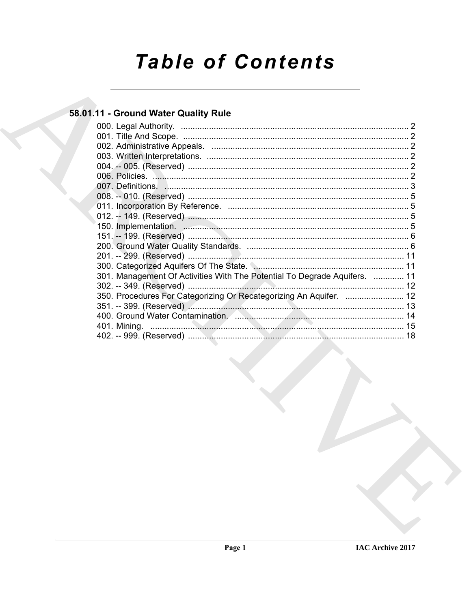# **Table of Contents**

## 58.01.11 - Ground Water Quality Rule

| 301. Management Of Activities With The Potential To Degrade Aquifers.  11 |  |
|---------------------------------------------------------------------------|--|
|                                                                           |  |
| 350. Procedures For Categorizing Or Recategorizing An Aquifer.  12        |  |
|                                                                           |  |
|                                                                           |  |
|                                                                           |  |
|                                                                           |  |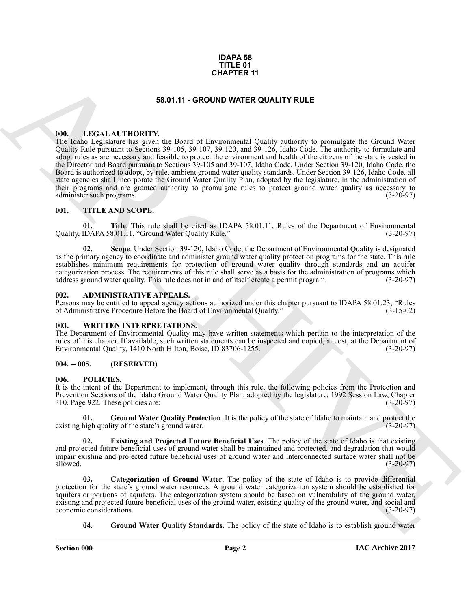### **IDAPA 58 TITLE 01 CHAPTER 11**

### **58.01.11 - GROUND WATER QUALITY RULE**

### <span id="page-1-1"></span><span id="page-1-0"></span>**000. LEGAL AUTHORITY.**

**53.47.11 • CHIATRICHY: 54.9 CHAPTER 11**<br> **63.47.11 • CHOMPITY the Evolution WATER OUALITY RULE**<br> **CHIATRICHICATE CONTINUES CONTINUES (CALC TRANSPART)**<br> **CHIATRICHIES** (CALC TRANSPART) **CONTINUES CONTINUES (CALC TRANS** The Idaho Legislature has given the Board of Environmental Quality authority to promulgate the Ground Water Quality Rule pursuant to Sections 39-105, 39-107, 39-120, and 39-126, Idaho Code. The authority to formulate and adopt rules as are necessary and feasible to protect the environment and health of the citizens of the state is vested in the Director and Board pursuant to Sections 39-105 and 39-107, Idaho Code. Under Section 39-120, Idaho Code, the Board is authorized to adopt, by rule, ambient ground water quality standards. Under Section 39-126, Idaho Code, all state agencies shall incorporate the Ground Water Quality Plan, adopted by the legislature, in the administration of their programs and are granted authority to promulgate rules to protect ground water quality as necessary to administer such programs. (3-20-97) administer such programs.

### <span id="page-1-2"></span>**001. TITLE AND SCOPE.**

**01. Title**. This rule shall be cited as IDAPA 58.01.11, Rules of the Department of Environmental IDAPA 58.01.11. "Ground Water Ouality Rule." (3-20-97) Quality, IDAPA 58.01.11, "Ground Water Quality Rule."

**02. Scope**. Under Section 39-120, Idaho Code, the Department of Environmental Quality is designated as the primary agency to coordinate and administer ground water quality protection programs for the state. This rule establishes minimum requirements for protection of ground water quality through standards and an aquifer categorization process. The requirements of this rule shall serve as a basis for the administration of programs which address ground water quality. This rule does not in and of itself create a permit program. (3-20-97)

### <span id="page-1-3"></span>**002. ADMINISTRATIVE APPEALS.**

Persons may be entitled to appeal agency actions authorized under this chapter pursuant to IDAPA 58.01.23, "Rules of Administrative Procedure Before the Board of Environmental Quality." (3-15-02) of Administrative Procedure Before the Board of Environmental Quality."

### <span id="page-1-4"></span>**003. WRITTEN INTERPRETATIONS.**

The Department of Environmental Quality may have written statements which pertain to the interpretation of the rules of this chapter. If available, such written statements can be inspected and copied, at cost, at the Department of Environmental Quality, 1410 North Hilton, Boise, ID 83706-1255. Environmental Quality, 1410 North Hilton, Boise, ID 83706-1255.

### <span id="page-1-5"></span>**004. -- 005. (RESERVED)**

### <span id="page-1-7"></span><span id="page-1-6"></span>**006. POLICIES.**

It is the intent of the Department to implement, through this rule, the following policies from the Protection and Prevention Sections of the Idaho Ground Water Quality Plan, adopted by the legislature, 1992 Session Law, Chapter 310, Page 922. These policies are: (3-20-97)

<span id="page-1-10"></span>**Ground Water Quality Protection**. It is the policy of the state of Idaho to maintain and protect the lity of the state's ground water. existing high quality of the state's ground water.

<span id="page-1-9"></span>**02. Existing and Projected Future Beneficial Uses**. The policy of the state of Idaho is that existing and projected future beneficial uses of ground water shall be maintained and protected, and degradation that would impair existing and projected future beneficial uses of ground water and interconnected surface water shall not be allowed. (3-20-97) allowed.  $(3-20-97)$ 

<span id="page-1-8"></span>**03. Categorization of Ground Water**. The policy of the state of Idaho is to provide differential protection for the state's ground water resources. A ground water categorization system should be established for aquifers or portions of aquifers. The categorization system should be based on vulnerability of the ground water, existing and projected future beneficial uses of the ground water, existing quality of the ground water, and social and economic considerations. (3-20-97) economic considerations.

<span id="page-1-11"></span>**04. Ground Water Quality Standards**. The policy of the state of Idaho is to establish ground water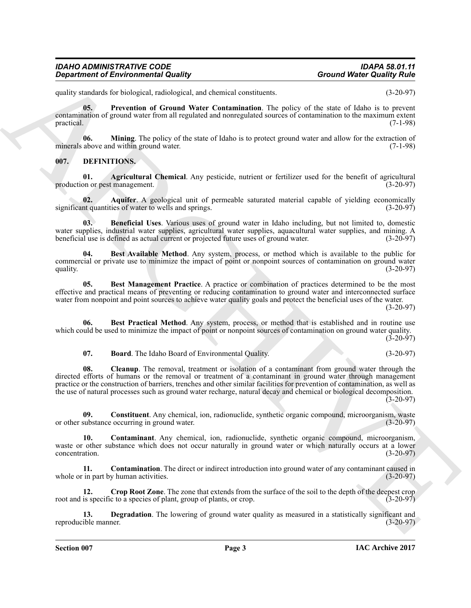| <b>IDAHO ADMINISTRATIVE CODE</b>           |       |
|--------------------------------------------|-------|
| <b>Department of Environmental Quality</b> | Grour |

<span id="page-2-16"></span>quality standards for biological, radiological, and chemical constituents. (3-20-97)

**05. Prevention of Ground Water Contamination**. The policy of the state of Idaho is to prevent contamination of ground water from all regulated and nonregulated sources of contamination to the maximum extent  $practical.$  (7-1-98)

<span id="page-2-15"></span>**06. Mining**. The policy of the state of Idaho is to protect ground water and allow for the extraction of above and within ground water. (7-1-98) minerals above and within ground water.

### <span id="page-2-2"></span><span id="page-2-1"></span><span id="page-2-0"></span>**007. DEFINITIONS.**

**01. Agricultural Chemical**. Any pesticide, nutrient or fertilizer used for the benefit of agricultural on or pest management. (3-20-97) production or pest management.

<span id="page-2-3"></span>**02. Aquifer**. A geological unit of permeable saturated material capable of yielding economically nt quantities of water to wells and springs. (3-20-97) significant quantities of water to wells and springs.

<span id="page-2-4"></span>**03. Beneficial Uses**. Various uses of ground water in Idaho including, but not limited to, domestic water supplies, industrial water supplies, agricultural water supplies, aquacultural water supplies, and mining. A<br>
denergicial use is defined as actual current or projected future uses of ground water. beneficial use is defined as actual current or projected future uses of ground water.

<span id="page-2-5"></span>**04. Best Available Method**. Any system, process, or method which is available to the public for commercial or private use to minimize the impact of point or nonpoint sources of contamination on ground water quality. (3-20-97) quality.  $(3-20-97)$ 

<span id="page-2-6"></span>**05.** Best Management Practice. A practice or combination of practices determined to be the most effective and practical means of preventing or reducing contamination to ground water and interconnected surface water from nonpoint and point sources to achieve water quality goals and protect the beneficial uses of the water.

(3-20-97)

**06. Best Practical Method**. Any system, process, or method that is established and in routine use which could be used to minimize the impact of point or nonpoint sources of contamination on ground water quality.

(3-20-97)

<span id="page-2-9"></span><span id="page-2-8"></span><span id="page-2-7"></span>**07. Board**. The Idaho Board of Environmental Quality. (3-20-97)

Ground Water Collaboration of Environmental Quality<br>
quality states to two states that the state of Laboration and chemistric and the two states of Laboration in the state of Laboration and the state of Laboration and the **08. Cleanup**. The removal, treatment or isolation of a contaminant from ground water through the directed efforts of humans or the removal or treatment of a contaminant in ground water through management practice or the construction of barriers, trenches and other similar facilities for prevention of contamination, as well as the use of natural processes such as ground water recharge, natural decay and chemical or biological decomposition.  $(3-20-97)$ 

<span id="page-2-10"></span>**09.** Constituent. Any chemical, ion, radionuclide, synthetic organic compound, microorganism, waste substance occurring in ground water.  $(3-20-97)$ or other substance occurring in ground water.

<span id="page-2-11"></span>**10. Contaminant**. Any chemical, ion, radionuclide, synthetic organic compound, microorganism, waste or other substance which does not occur naturally in ground water or which naturally occurs at a lower concentration. (3-20-97)

<span id="page-2-12"></span>**11. Contamination**. The direct or indirect introduction into ground water of any contaminant caused in in part by human activities.  $(3-20-97)$ whole or in part by human activities.

<span id="page-2-13"></span>**12.** Crop Root Zone. The zone that extends from the surface of the soil to the depth of the deepest crop is specific to a species of plant, group of plants, or crop.  $(3-20-97)$ root and is specific to a species of plant, group of plants, or crop.

<span id="page-2-14"></span>**13. Degradation**. The lowering of ground water quality as measured in a statistically significant and ible manner. (3-20-97) reproducible manner.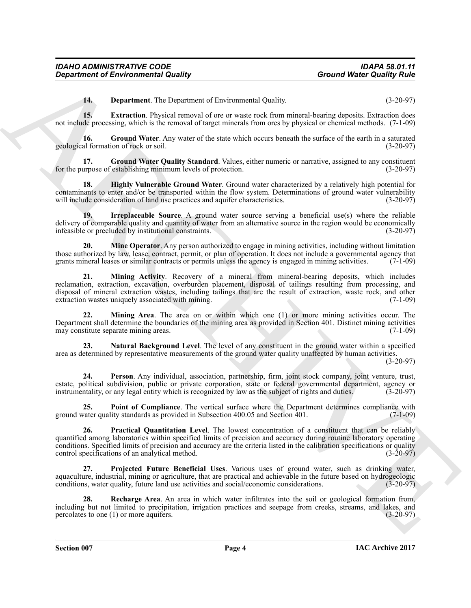<span id="page-3-2"></span><span id="page-3-1"></span><span id="page-3-0"></span>**14. Department**. The Department of Environmental Quality. (3-20-97)

**15. Extraction**. Physical removal of ore or waste rock from mineral-bearing deposits. Extraction does not include processing, which is the removal of target minerals from ores by physical or chemical methods. (7-1-09)

**16.** Ground Water. Any water of the state which occurs beneath the surface of the earth in a saturated al formation of rock or soil. (3-20-97) geological formation of rock or soil. (3-20-97)

<span id="page-3-3"></span>**17. Ground Water Quality Standard**. Values, either numeric or narrative, assigned to any constituent establishing minimum levels of protection. for the purpose of establishing minimum levels of protection.

<span id="page-3-4"></span>**18. Highly Vulnerable Ground Water**. Ground water characterized by a relatively high potential for contaminants to enter and/or be transported within the flow system. Determinations of ground water vulnerability will include consideration of land use practices and aquifer characteristics. (3-20-97)

<span id="page-3-5"></span>**19. Irreplaceable Source**. A ground water source serving a beneficial use(s) where the reliable delivery of comparable quality and quantity of water from an alternative source in the region would be economically infeasible or precluded by institutional constraints. (3-20-97)

<span id="page-3-7"></span><span id="page-3-6"></span>**20. Mine Operator**. Any person authorized to engage in mining activities, including without limitation those authorized by law, lease, contract, permit, or plan of operation. It does not include a governmental agency that grants mineral leases or similar contracts or permits unless the agency is engaged in mining activities grants mineral leases or similar contracts or permits unless the agency is engaged in mining activities.

Ground Weiter Country Reputerable Assemble (and the summatic Quality). Ground Weiter Country Review 1976.<br>
14. Department Review Review Review Country and the Summatic Quality and the summatic Quality and the summatic Sum **21. Mining Activity**. Recovery of a mineral from mineral-bearing deposits, which includes reclamation, extraction, excavation, overburden placement, disposal of tailings resulting from processing, and disposal of mineral extraction wastes, including tailings that are the result of extraction, waste rock, and other extraction wastes uniquely associated with mining. extraction wastes uniquely associated with mining.

<span id="page-3-8"></span>**22. Mining Area**. The area on or within which one (1) or more mining activities occur. The Department shall determine the boundaries of the mining area as provided in Section 401. Distinct mining activities may constitute separate mining areas.

<span id="page-3-9"></span>**23. Natural Background Level**. The level of any constituent in the ground water within a specified area as determined by representative measurements of the ground water quality unaffected by human activities.

(3-20-97)

<span id="page-3-10"></span>**24. Person**. Any individual, association, partnership, firm, joint stock company, joint venture, trust, estate, political subdivision, public or private corporation, state or federal governmental department, agency or instrumentality, or any legal entity which is recognized by law as the subject of rights and duties. (3-20-9 instrumentality, or any legal entity which is recognized by law as the subject of rights and duties.

<span id="page-3-11"></span>**25. Point of Compliance**. The vertical surface where the Department determines compliance with ground water quality standards as provided in Subsection 400.05 and Section 401. (7-1-09)

<span id="page-3-12"></span>**26. Practical Quantitation Level**. The lowest concentration of a constituent that can be reliably quantified among laboratories within specified limits of precision and accuracy during routine laboratory operating conditions. Specified limits of precision and accuracy are the criteria listed in the calibration specifications or quality control specifications of an analytical method. (3-20-97)

<span id="page-3-13"></span>**27. Projected Future Beneficial Uses**. Various uses of ground water, such as drinking water, aquaculture, industrial, mining or agriculture, that are practical and achievable in the future based on hydrogeologic conditions, water quality, future land use activities and social/economic considerations. (3-20-97)

<span id="page-3-14"></span>**28. Recharge Area**. An area in which water infiltrates into the soil or geological formation from, including but not limited to precipitation, irrigation practices and seepage from creeks, streams, and lakes, and percolates to one  $(1)$  or more aquifers.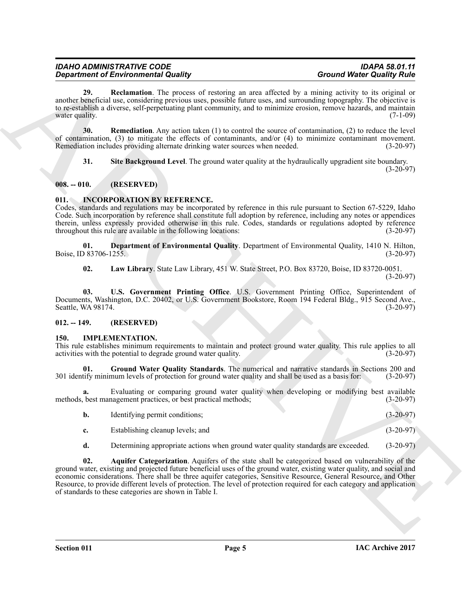<span id="page-4-4"></span>**29.** Reclamation. The process of restoring an area affected by a mining activity to its original or another beneficial use, considering previous uses, possible future uses, and surrounding topography. The objective is to re-establish a diverse, self-perpetuating plant community, and to minimize erosion, remove hazards, and maintain water quality.  $(7-1-09)$ 

**30. Remediation**. Any action taken (1) to control the source of contamination, (2) to reduce the level of contamination, (3) to mitigate the effects of contaminants, and/or (4) to minimize contaminant movement.<br>Remediation includes providing alternate drinking water sources when needed. (3-20-97) Remediation includes providing alternate drinking water sources when needed.

<span id="page-4-6"></span><span id="page-4-5"></span>**31. Site Background Level**. The ground water quality at the hydraulically upgradient site boundary.

 $(3-20-97)$ 

### <span id="page-4-0"></span>**008. -- 010. (RESERVED)**

### <span id="page-4-10"></span><span id="page-4-1"></span>**011. INCORPORATION BY REFERENCE.**

Codes, standards and regulations may be incorporated by reference in this rule pursuant to Section 67-5229, Idaho Code. Such incorporation by reference shall constitute full adoption by reference, including any notes or appendices therein, unless expressly provided otherwise in this rule. Codes, standards or regulations adopted by reference throughout this rule are available in the following locations: (3-20-97)

**01. Department of Environmental Quality**. Department of Environmental Quality, 1410 N. Hilton, Boise, ID 83706-1255.

**02. Law Library**. State Law Library, 451 W. State Street, P.O. Box 83720, Boise, ID 83720-0051. (3-20-97)

**03. U.S. Government Printing Office**. U.S. Government Printing Office, Superintendent of Documents, Washington, D.C. 20402, or U.S. Government Bookstore, Room 194 Federal Bldg., 915 Second Ave., Seattle, WA 98174. (3-20-97) Seattle, WA 98174.

### <span id="page-4-2"></span>**012. -- 149. (RESERVED)**

### <span id="page-4-7"></span><span id="page-4-3"></span>**150. IMPLEMENTATION.**

This rule establishes minimum requirements to maintain and protect ground water quality. This rule applies to all activities with the potential to degrade ground water quality. (3-20-97) activities with the potential to degrade ground water quality.

<span id="page-4-9"></span>**Ground Water Quality Standards**. The numerical and narrative standards in Sections 200 and num levels of protection for ground water quality and shall be used as a basis for: (3-20-97) 301 identify minimum levels of protection for ground water quality and shall be used as a basis for:

**a.** Evaluating or comparing ground water quality when developing or modifying best available best management practices, or best practical methods;  $(3-20-97)$ methods, best management practices, or best practical methods;

|    | Identifying permit conditions;   | $(3-20-97)$ |
|----|----------------------------------|-------------|
| c. | Establishing cleanup levels; and | $(3-20-97)$ |

<span id="page-4-8"></span>**d.** Determining appropriate actions when ground water quality standards are exceeded. (3-20-97)

**Experiment of Environmental Country, and the system of the system of Warbor Country and Country and Country and Country and Country and Country and Country and Country and Country and Country and Country and Country and 02. Aquifer Categorization**. Aquifers of the state shall be categorized based on vulnerability of the ground water, existing and projected future beneficial uses of the ground water, existing water quality, and social and economic considerations. There shall be three aquifer categories, Sensitive Resource, General Resource, and Other Resource, to provide different levels of protection. The level of protection required for each category and application of standards to these categories are shown in Table I.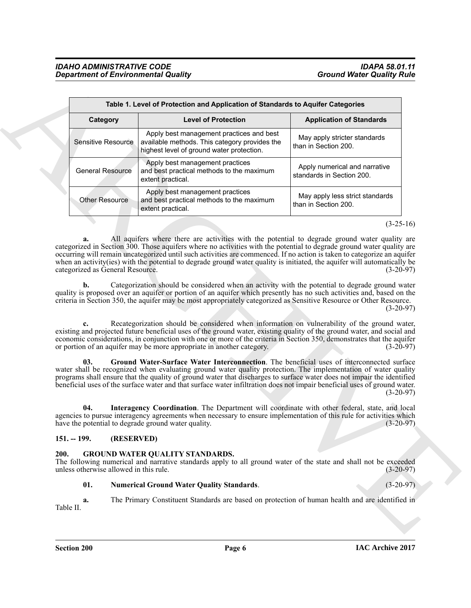<span id="page-5-4"></span>

|                                                       |            | Table 1. Level of Protection and Application of Standards to Aquifer Categories                                                                                                                                                                                                                                                                                                                                                                                                                                                                                                                                                                                                                                                                                                                                                                                                                                                                                                                                                                                                                                          |                                                            |
|-------------------------------------------------------|------------|--------------------------------------------------------------------------------------------------------------------------------------------------------------------------------------------------------------------------------------------------------------------------------------------------------------------------------------------------------------------------------------------------------------------------------------------------------------------------------------------------------------------------------------------------------------------------------------------------------------------------------------------------------------------------------------------------------------------------------------------------------------------------------------------------------------------------------------------------------------------------------------------------------------------------------------------------------------------------------------------------------------------------------------------------------------------------------------------------------------------------|------------------------------------------------------------|
| Category                                              |            | <b>Level of Protection</b>                                                                                                                                                                                                                                                                                                                                                                                                                                                                                                                                                                                                                                                                                                                                                                                                                                                                                                                                                                                                                                                                                               | <b>Application of Standards</b>                            |
| <b>Sensitive Resource</b>                             |            | Apply best management practices and best<br>available methods. This category provides the<br>highest level of ground water protection.                                                                                                                                                                                                                                                                                                                                                                                                                                                                                                                                                                                                                                                                                                                                                                                                                                                                                                                                                                                   | May apply stricter standards<br>than in Section 200.       |
| <b>General Resource</b>                               |            | Apply best management practices<br>and best practical methods to the maximum<br>extent practical.                                                                                                                                                                                                                                                                                                                                                                                                                                                                                                                                                                                                                                                                                                                                                                                                                                                                                                                                                                                                                        | Apply numerical and narrative<br>standards in Section 200. |
| Other Resource                                        |            | Apply best management practices<br>and best practical methods to the maximum<br>extent practical.                                                                                                                                                                                                                                                                                                                                                                                                                                                                                                                                                                                                                                                                                                                                                                                                                                                                                                                                                                                                                        | May apply less strict standards<br>than in Section 200.    |
|                                                       |            |                                                                                                                                                                                                                                                                                                                                                                                                                                                                                                                                                                                                                                                                                                                                                                                                                                                                                                                                                                                                                                                                                                                          | $(3-25-16)$                                                |
| b.                                                    |            | Categorization should be considered when an activity with the potential to degrade ground water<br>quality is proposed over an aquifer or portion of an aquifer which presently has no such activities and, based on the                                                                                                                                                                                                                                                                                                                                                                                                                                                                                                                                                                                                                                                                                                                                                                                                                                                                                                 |                                                            |
| 03.<br>04.                                            |            | criteria in Section 350, the aquifer may be most appropriately categorized as Sensitive Resource or Other Resource.<br>Recategorization should be considered when information on vulnerability of the ground water,<br>existing and projected future beneficial uses of the ground water, existing quality of the ground water, and social and<br>economic considerations, in conjunction with one or more of the criteria in Section 350, demonstrates that the aquifer<br>or portion of an aquifer may be more appropriate in another category.<br>Ground Water-Surface Water Interconnection. The beneficial uses of interconnected surface<br>water shall be recognized when evaluating ground water quality protection. The implementation of water quality<br>programs shall ensure that the quality of ground water that discharges to surface water does not impair the identified<br>beneficial uses of the surface water and that surface water infiltration does not impair beneficial uses of ground water.<br>Interagency Coordination. The Department will coordinate with other federal, state, and local | $(3-20-97)$<br>$(3-20-97)$<br>$(3-20-97)$                  |
|                                                       |            | agencies to pursue interagency agreements when necessary to ensure implementation of this rule for activities which<br>have the potential to degrade ground water quality.                                                                                                                                                                                                                                                                                                                                                                                                                                                                                                                                                                                                                                                                                                                                                                                                                                                                                                                                               | $(3-20-97)$                                                |
| $151. - 199.$                                         | (RESERVED) |                                                                                                                                                                                                                                                                                                                                                                                                                                                                                                                                                                                                                                                                                                                                                                                                                                                                                                                                                                                                                                                                                                                          |                                                            |
|                                                       |            | <b>GROUND WATER QUALITY STANDARDS.</b><br>The following numerical and narrative standards apply to all ground water of the state and shall not be exceeded                                                                                                                                                                                                                                                                                                                                                                                                                                                                                                                                                                                                                                                                                                                                                                                                                                                                                                                                                               | $(3-20-97)$                                                |
| 200.<br>unless otherwise allowed in this rule.<br>01. |            | <b>Numerical Ground Water Quality Standards.</b>                                                                                                                                                                                                                                                                                                                                                                                                                                                                                                                                                                                                                                                                                                                                                                                                                                                                                                                                                                                                                                                                         | $(3-20-97)$                                                |

### <span id="page-5-6"></span><span id="page-5-5"></span><span id="page-5-0"></span>**151. -- 199. (RESERVED)**

### <span id="page-5-2"></span><span id="page-5-1"></span>**GROUND WATER QUALITY STANDARDS.**

### <span id="page-5-3"></span>**01. Numerical Ground Water Quality Standards**. (3-20-97)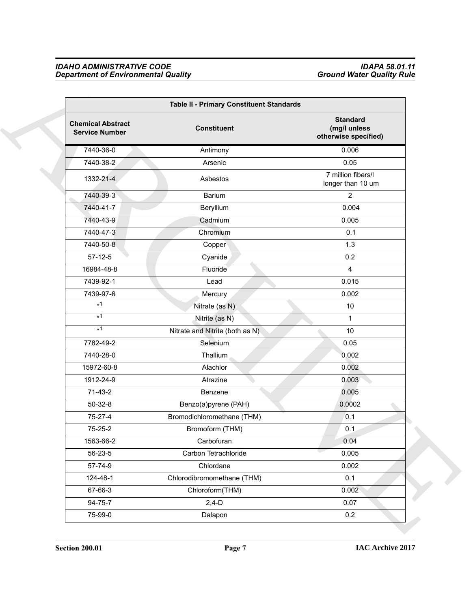### <span id="page-6-0"></span>*IDAHO ADMINISTRATIVE CODE IDAPA 58.01.11 Department of Environmental Quality Ground Water Quality Rule*

| Table II - Primary Constituent Standards          |                                 |                                                         |
|---------------------------------------------------|---------------------------------|---------------------------------------------------------|
| <b>Chemical Abstract</b><br><b>Service Number</b> | <b>Constituent</b>              | <b>Standard</b><br>(mg/l unless<br>otherwise specified) |
| 7440-36-0                                         | Antimony                        | 0.006                                                   |
| 7440-38-2                                         | Arsenic                         | 0.05                                                    |
| 1332-21-4                                         | Asbestos                        | 7 million fibers/l<br>longer than 10 um                 |
| 7440-39-3                                         | Barium                          | $\overline{2}$                                          |
| 7440-41-7                                         | Beryllium                       | 0.004                                                   |
| 7440-43-9                                         | Cadmium                         | 0.005                                                   |
| 7440-47-3                                         | Chromium                        | 0.1                                                     |
| 7440-50-8                                         | Copper                          | 1.3                                                     |
| $57-12-5$                                         | Cyanide                         | 0.2                                                     |
| 16984-48-8                                        | Fluoride                        | 4                                                       |
| 7439-92-1                                         | Lead                            | 0.015                                                   |
| 7439-97-6                                         | Mercury                         | 0.002                                                   |
| $*1$                                              | Nitrate (as N)                  | 10                                                      |
| $*1$                                              | Nitrite (as N)                  | $\mathbf{1}$                                            |
| $*1$                                              | Nitrate and Nitrite (both as N) | 10                                                      |
| 7782-49-2                                         | Selenium                        | 0.05                                                    |
| 7440-28-0                                         | Thallium                        | 0.002                                                   |
| 15972-60-8                                        | Alachlor                        | 0.002                                                   |
| 1912-24-9                                         | Atrazine                        | 0.003                                                   |
| $71-43-2$                                         | Benzene                         | 0.005                                                   |
| $50-32-8$                                         | Benzo(a)pyrene (PAH)            | 0.0002                                                  |
| 75-27-4                                           | Bromodichloromethane (THM)      | 0.1                                                     |
| 75-25-2                                           | Bromoform (THM)                 | 0.1                                                     |
| 1563-66-2                                         | Carbofuran                      | 0.04                                                    |
| 56-23-5                                           | Carbon Tetrachloride            | 0.005                                                   |
| 57-74-9                                           | Chlordane                       | 0.002                                                   |
| 124-48-1                                          | Chlorodibromomethane (THM)      | 0.1                                                     |
| 67-66-3                                           | Chloroform(THM)                 | 0.002                                                   |
| 94-75-7                                           | $2,4-D$                         | 0.07                                                    |
| 75-99-0                                           | Dalapon                         | 0.2                                                     |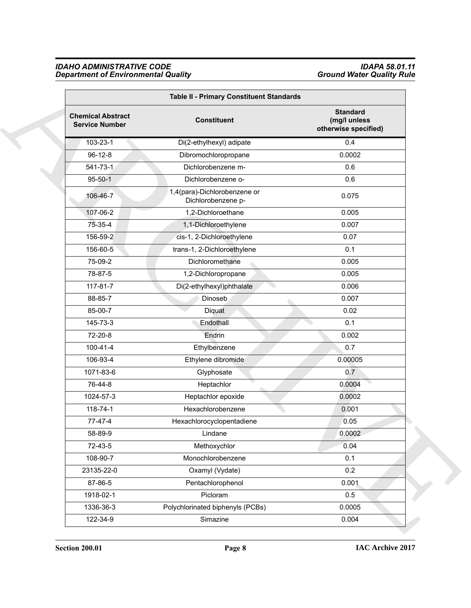### *IDAHO ADMINISTRATIVE CODE IDAPA 58.01.11 Department of Environmental Quality Ground Water Quality Rule*

| Table II - Primary Constituent Standards          |                                                    |                                                         |
|---------------------------------------------------|----------------------------------------------------|---------------------------------------------------------|
| <b>Chemical Abstract</b><br><b>Service Number</b> | <b>Constituent</b>                                 | <b>Standard</b><br>(mg/l unless<br>otherwise specified) |
| 103-23-1                                          | Di(2-ethylhexyl) adipate                           | 0.4                                                     |
| $96 - 12 - 8$                                     | Dibromochloropropane                               | 0.0002                                                  |
| $541 - 73 - 1$                                    | Dichlorobenzene m-                                 | 0.6                                                     |
| $95 - 50 - 1$                                     | Dichlorobenzene o-                                 | 0.6                                                     |
| 106-46-7                                          | 1,4(para)-Dichlorobenzene or<br>Dichlorobenzene p- | 0.075                                                   |
| 107-06-2                                          | 1,2-Dichloroethane                                 | 0.005                                                   |
| 75-35-4                                           | 1,1-Dichloroethylene                               | 0.007                                                   |
| 156-59-2                                          | cis-1, 2-Dichloroethylene                          | 0.07                                                    |
| 156-60-5                                          | trans-1, 2-Dichloroethylene                        | 0.1                                                     |
| 75-09-2                                           | Dichloromethane                                    | 0.005                                                   |
| 78-87-5                                           | 1,2-Dichloropropane                                | 0.005                                                   |
| 117-81-7                                          | Di(2-ethylhexyl)phthalate                          | 0.006                                                   |
| 88-85-7                                           | <b>Dinoseb</b>                                     | 0.007                                                   |
| 85-00-7                                           | Diquat                                             | 0.02                                                    |
| 145-73-3                                          | Endothall                                          | 0.1                                                     |
| 72-20-8                                           | Endrin                                             | 0.002                                                   |
| $100 - 41 - 4$                                    | Ethylbenzene                                       | 0.7                                                     |
| 106-93-4                                          | Ethylene dibromide                                 | 0.00005                                                 |
| 1071-83-6                                         | Glyphosate                                         | 0.7                                                     |
| 76-44-8                                           | Heptachlor                                         | 0.0004                                                  |
| 1024-57-3                                         | Heptachlor epoxide                                 | 0.0002                                                  |
| 118-74-1                                          | Hexachlorobenzene                                  | 0.001                                                   |
| 77-47-4                                           | Hexachlorocyclopentadiene                          | 0.05                                                    |
| 58-89-9                                           | Lindane                                            | 0.0002                                                  |
| 72-43-5                                           | Methoxychlor                                       | 0.04                                                    |
| 108-90-7                                          | Monochlorobenzene                                  | 0.1                                                     |
| 23135-22-0                                        | Oxamyl (Vydate)                                    | 0.2                                                     |
| 87-86-5                                           | Pentachlorophenol                                  | 0.001                                                   |
| 1918-02-1                                         | Picloram                                           | 0.5                                                     |
| 1336-36-3                                         | Polychlorinated biphenyls (PCBs)                   | 0.0005                                                  |
| 122-34-9                                          | Simazine                                           | 0.004                                                   |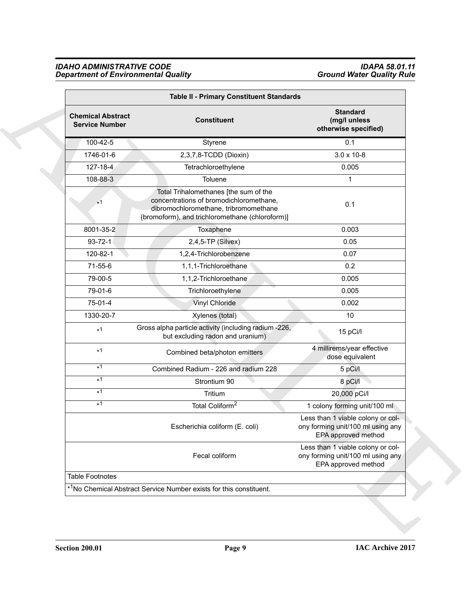### *IDAHO ADMINISTRATIVE CODE IDAPA 58.01.11 Department of Environmental Quality Ground Water Quality Rule*

| Table II - Primary Constituent Standards          |                                                                                                                                                                              |                                                                                               |
|---------------------------------------------------|------------------------------------------------------------------------------------------------------------------------------------------------------------------------------|-----------------------------------------------------------------------------------------------|
| <b>Chemical Abstract</b><br><b>Service Number</b> | <b>Constituent</b>                                                                                                                                                           | <b>Standard</b><br>(mg/l unless<br>otherwise specified)                                       |
| 100-42-5                                          | Styrene                                                                                                                                                                      | 0.1                                                                                           |
| 1746-01-6                                         | 2,3,7,8-TCDD (Dioxin)                                                                                                                                                        | $3.0 \times 10 - 8$                                                                           |
| $127 - 18 - 4$                                    | Tetrachloroethylene                                                                                                                                                          | 0.005                                                                                         |
| 108-88-3                                          | Toluene                                                                                                                                                                      | $\mathbf{1}$                                                                                  |
| $*1$                                              | Total Trihalomethanes [the sum of the<br>concentrations of bromodichloromethane,<br>dibromochloromethane, tribromomethane<br>(bromoform), and trichloromethane (chloroform)] | 0.1                                                                                           |
| 8001-35-2                                         | Toxaphene                                                                                                                                                                    | 0.003                                                                                         |
| $93 - 72 - 1$                                     | 2,4,5-TP (Silvex)                                                                                                                                                            | 0.05                                                                                          |
| 120-82-1                                          | 1,2,4-Trichlorobenzene                                                                                                                                                       | 0.07                                                                                          |
| 71-55-6                                           | 1,1,1-Trichloroethane                                                                                                                                                        | 0.2                                                                                           |
| 79-00-5                                           | 1,1,2-Trichloroethane                                                                                                                                                        | 0.005                                                                                         |
| 79-01-6                                           | Trichloroethylene                                                                                                                                                            | 0.005                                                                                         |
| 75-01-4                                           | Vinyl Chloride                                                                                                                                                               | 0.002                                                                                         |
| 1330-20-7                                         | Xylenes (total)                                                                                                                                                              | 10                                                                                            |
| $*1$                                              | Gross alpha particle activity (including radium -226,<br>but excluding radon and uranium)                                                                                    | 15 pCi/l                                                                                      |
| $*1$                                              | Combined beta/photon emitters                                                                                                                                                | 4 millirems/year effective<br>dose equivalent                                                 |
| $*1$                                              | Combined Radium - 226 and radium 228                                                                                                                                         | 5 pCi/l                                                                                       |
| $*1$                                              | Strontium 90                                                                                                                                                                 | 8 pCi/l                                                                                       |
| $*1$                                              | Tritium                                                                                                                                                                      | 20,000 pCi/l                                                                                  |
| $*1$                                              | Total Coliform <sup>2</sup>                                                                                                                                                  | 1 colony forming unit/100 ml                                                                  |
|                                                   | Escherichia coliform (E. coli)                                                                                                                                               | Less than 1 viable colony or col-<br>ony forming unit/100 ml using any<br>EPA approved method |
|                                                   | Fecal coliform                                                                                                                                                               | Less than 1 viable colony or col-<br>ony forming unit/100 ml using any<br>EPA approved method |
| <b>Table Footnotes</b>                            |                                                                                                                                                                              |                                                                                               |
|                                                   | * <sup>1</sup> No Chemical Abstract Service Number exists for this constituent.                                                                                              |                                                                                               |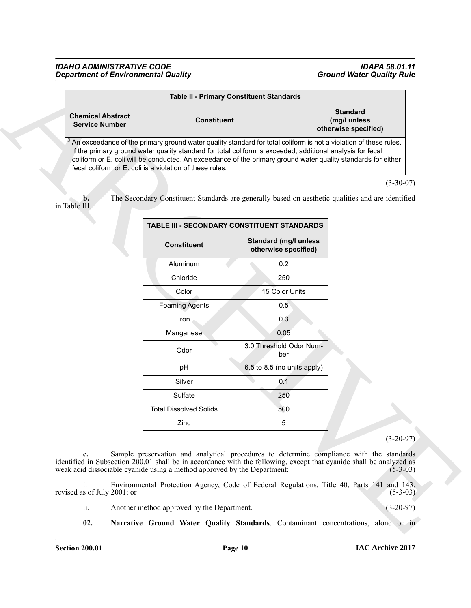<span id="page-9-1"></span><span id="page-9-0"></span>

|                                                          | <b>Table II - Primary Constituent Standards</b>                                                                                                                                                                                                                                                                                                            |                                                         |
|----------------------------------------------------------|------------------------------------------------------------------------------------------------------------------------------------------------------------------------------------------------------------------------------------------------------------------------------------------------------------------------------------------------------------|---------------------------------------------------------|
| <b>Chemical Abstract</b><br><b>Service Number</b>        | <b>Constituent</b>                                                                                                                                                                                                                                                                                                                                         | <b>Standard</b><br>(mg/l unless<br>otherwise specified) |
| fecal coliform or E, coli is a violation of these rules. | $\sqrt{2}$ An exceedance of the primary ground water quality standard for total coliform is not a violation of these rules.<br>If the primary ground water quality standard for total coliform is exceeded, additional analysis for fecal<br>coliform or E. coli will be conducted. An exceedance of the primary ground water quality standards for either |                                                         |

|                                                   |                                                                                                                                                                                                                                                                                                                                                                                                                      | <b>Table II - Primary Constituent Standards</b>      |                                                         |
|---------------------------------------------------|----------------------------------------------------------------------------------------------------------------------------------------------------------------------------------------------------------------------------------------------------------------------------------------------------------------------------------------------------------------------------------------------------------------------|------------------------------------------------------|---------------------------------------------------------|
| <b>Chemical Abstract</b><br><b>Service Number</b> | <b>Constituent</b>                                                                                                                                                                                                                                                                                                                                                                                                   |                                                      | <b>Standard</b><br>(mg/l unless<br>otherwise specified) |
|                                                   | ${}^{2}$ An exceedance of the primary ground water quality standard for total coliform is not a violation of these rules.<br>If the primary ground water quality standard for total coliform is exceeded, additional analysis for fecal<br>coliform or E. coli will be conducted. An exceedance of the primary ground water quality standards for either<br>fecal coliform or E. coli is a violation of these rules. |                                                      |                                                         |
| b.<br>in Table III.                               | The Secondary Constituent Standards are generally based on aesthetic qualities and are identified                                                                                                                                                                                                                                                                                                                    |                                                      | $(3-30-07)$                                             |
|                                                   |                                                                                                                                                                                                                                                                                                                                                                                                                      | TABLE III - SECONDARY CONSTITUENT STANDARDS          |                                                         |
|                                                   | <b>Constituent</b>                                                                                                                                                                                                                                                                                                                                                                                                   | <b>Standard (mg/l unless</b><br>otherwise specified) |                                                         |
|                                                   | Aluminum                                                                                                                                                                                                                                                                                                                                                                                                             | 0.2                                                  |                                                         |
|                                                   | Chloride                                                                                                                                                                                                                                                                                                                                                                                                             | 250                                                  |                                                         |
|                                                   | Color                                                                                                                                                                                                                                                                                                                                                                                                                | 15 Color Units                                       |                                                         |
|                                                   | <b>Foaming Agents</b>                                                                                                                                                                                                                                                                                                                                                                                                | 0.5                                                  |                                                         |
|                                                   | Iron.                                                                                                                                                                                                                                                                                                                                                                                                                | 0.3                                                  |                                                         |
|                                                   | Manganese                                                                                                                                                                                                                                                                                                                                                                                                            | 0.05                                                 |                                                         |
|                                                   | Odor                                                                                                                                                                                                                                                                                                                                                                                                                 | 3.0 Threshold Odor Num-<br>ber                       |                                                         |
|                                                   | pH                                                                                                                                                                                                                                                                                                                                                                                                                   | 6.5 to 8.5 (no units apply)                          |                                                         |
|                                                   | Silver                                                                                                                                                                                                                                                                                                                                                                                                               | 0.1                                                  |                                                         |
|                                                   | Sulfate                                                                                                                                                                                                                                                                                                                                                                                                              | 250                                                  |                                                         |
|                                                   | <b>Total Dissolved Solids</b>                                                                                                                                                                                                                                                                                                                                                                                        | 500                                                  |                                                         |
|                                                   | Zinc                                                                                                                                                                                                                                                                                                                                                                                                                 | 5                                                    |                                                         |
|                                                   |                                                                                                                                                                                                                                                                                                                                                                                                                      |                                                      | $(3-20-97)$                                             |
| c.                                                | Sample preservation and analytical procedures to determine compliance with the standards<br>identified in Subsection 200.01 shall be in accordance with the following, except that cyanide shall be analyzed as<br>weak acid dissociable cyanide using a method approved by the Department:                                                                                                                          |                                                      | $(5-3-03)$                                              |
| i.                                                | Environmental Protection Agency, Code of Federal Regulations, Title 40, Parts 141 and 143,                                                                                                                                                                                                                                                                                                                           |                                                      | $(5-3-03)$                                              |
| revised as of July 2001; or                       |                                                                                                                                                                                                                                                                                                                                                                                                                      |                                                      |                                                         |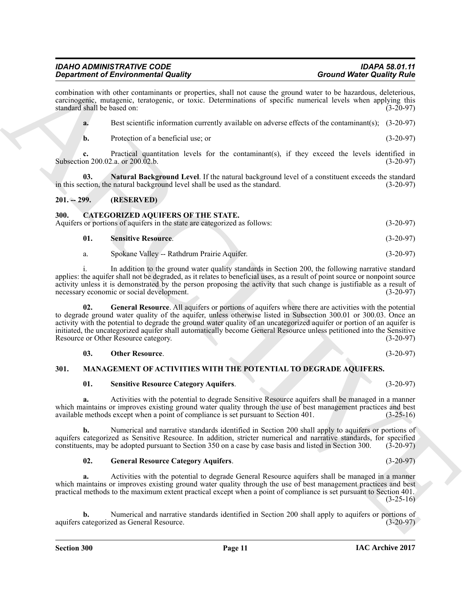## <span id="page-10-2"></span>**01. Sensitive Resource Category Aquifers**. (3-20-97)

**a.** Activities with the potential to degrade Sensitive Resource aquifers shall be managed in a manner which maintains or improves existing ground water quality through the use of best management practices and best available methods except when a point of compliance is set pursuant to Section 401. (3-25-16)

**b.** Numerical and narrative standards identified in Section 200 shall apply to aquifers or portions of aquifers categorized as Sensitive Resource. In addition, stricter numerical and narrative standards, for specified constituents, may be adopted pursuant to Section 350 on a case by case basis and listed in Section 300. (3constituents, may be adopted pursuant to Section 350 on a case by case basis and listed in Section 300.

**02. General Resource Category Aquifers**. (3-20-97)

**a.** Activities with the potential to degrade General Resource aquifers shall be managed in a manner which maintains or improves existing ground water quality through the use of best management practices and best practical methods to the maximum extent practical except when a point of compliance is set pursuant to Section 401.  $(3-25-16)$ 

Numerical and narrative standards identified in Section 200 shall apply to aquifers or portions of ed as General Resource. (3-20-97) aquifers categorized as General Resource.

<span id="page-10-7"></span>

**Section 300 Page 11**

Graduation of Entropological and space the space of the space of the space of the space of the space of the space of the space of the space of the space of the space of the space of the space of the space of the space of **02. General Resource**. All aquifers or portions of aquifers where there are activities with the potential to degrade ground water quality of the aquifer, unless otherwise listed in Subsection 300.01 or 300.03. Once an activity with the potential to degrade the ground water quality of an uncategorized aquifer or portion of an aquifer is initiated, the uncategorized aquifer shall automatically become General Resource unless petitioned into the Sensitive Resource or Other Resource category.

**03.** Other Resource. (3-20-97) **301. MANAGEMENT OF ACTIVITIES WITH THE POTENTIAL TO DEGRADE AQUIFERS.**

**01. Sensitive Resource**. (3-20-97)

in this section, the natural background level shall be used as the standard.

*Department of Environmental Quality* 

standard shall be based on:

<span id="page-10-0"></span>**201. -- 299. (RESERVED)**

- <span id="page-10-6"></span>
	-

**c.** Practical quantitation levels for the contaminant(s), if they exceed the levels identified in

<span id="page-10-8"></span>**03.** Natural Background Level. If the natural background level of a constituent exceeds the standard ction, the natural background level shall be used as the standard. (3-20-97)

i. In addition to the ground water quality standards in Section 200, the following narrative standard applies: the aquifer shall not be degraded, as it relates to beneficial uses, as a result of point source or nonpoint source activity unless it is demonstrated by the person proposing the activity that such change is justifiable as a result of necessary economic or social development.

a. Spokane Valley -- Rathdrum Prairie Aquifer. (3-20-97)

combination with other contaminants or properties, shall not cause the ground water to be hazardous, deleterious,

Subsection 200.02.a. or 200.02.b. (3-20-97)

necessary economic or social development.

<span id="page-10-4"></span>

<span id="page-10-10"></span><span id="page-10-9"></span><span id="page-10-5"></span>

**IAC Archive 2017**

*IDAHO ADMINISTRATIVE CODE IDAPA 58.01.11*

<span id="page-10-3"></span><span id="page-10-1"></span>**300. CATEGORIZED AQUIFERS OF THE STATE.** Aquifers or portions of aquifers in the state are categorized as follows: (3-20-97)

carcinogenic, mutagenic, teratogenic, or toxic. Determinations of specific numerical levels when applying this **a.** Best scientific information currently available on adverse effects of the contaminant(s); (3-20-97)

**b.** Protection of a beneficial use; or (3-20-97)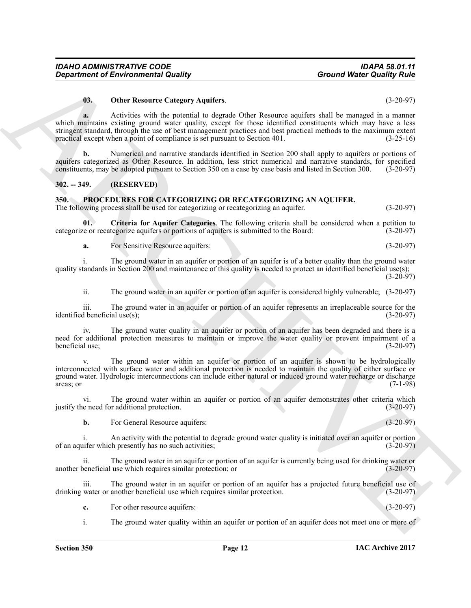### <span id="page-11-2"></span>**03. Other Resource Category Aquifers**. (3-20-97)

Great from the Revision of the Revision of Millet Revise of the Revise of the Revise of the Revise of the Revise of the Revise of the Revise of the Revise of the Revise of the Revise of the Revise of the Revise of the Rev **a.** Activities with the potential to degrade Other Resource aquifers shall be managed in a manner which maintains existing ground water quality, except for those identified constituents which may have a less stringent standard, through the use of best management practices and best practical methods to the maximum extent practical except when a point of compliance is set pursuant to Section 401. (3-25-16) practical except when a point of compliance is set pursuant to Section  $401$ .

**b.** Numerical and narrative standards identified in Section 200 shall apply to aquifers or portions of aquifers categorized as Other Resource. In addition, less strict numerical and narrative standards, for specified constituents, may be adopted pursuant to Section 350 on a case by case basis and listed in Section 300. (3-20-97)

### <span id="page-11-0"></span>**302. -- 349. (RESERVED)**

### <span id="page-11-3"></span><span id="page-11-1"></span>**350. PROCEDURES FOR CATEGORIZING OR RECATEGORIZING AN AQUIFER.** The following process shall be used for categorizing or recategorizing an aquifer.  $(3-20-97)$

**01. Criteria for Aquifer Categories**. The following criteria shall be considered when a petition to

categorize or recategorize aquifers or portions of aquifers is submitted to the Board: (3-20-97)

<span id="page-11-4"></span>**a.** For Sensitive Resource aquifers: (3-20-97)

i. The ground water in an aquifer or portion of an aquifer is of a better quality than the ground water quality standards in Section 200 and maintenance of this quality is needed to protect an identified beneficial use(s); (3-20-97)

ii. The ground water in an aquifer or portion of an aquifer is considered highly vulnerable; (3-20-97)

iii. The ground water in an aquifer or portion of an aquifer represents an irreplaceable source for the identified beneficial use $(s)$ ;

iv. The ground water quality in an aquifer or portion of an aquifer has been degraded and there is a need for additional protection measures to maintain or improve the water quality or prevent impairment of a beneficial use; (3-20-97)

v. The ground water within an aquifer or portion of an aquifer is shown to be hydrologically interconnected with surface water and additional protection is needed to maintain the quality of either surface or ground water. Hydrologic interconnections can include either natural or induced ground water recharge or discharge areas; or (7-1-98) areas; or  $(7-1-98)$ 

vi. The ground water within an aquifer or portion of an aquifer demonstrates other criteria which e need for additional protection. (3-20-97) justify the need for additional protection.

**b.** For General Resource aquifers: (3-20-97)

An activity with the potential to degrade ground water quality is initiated over an aquifer or portion the presently has no such activities: of an aquifer which presently has no such activities; (3-20-97)

ii. The ground water in an aquifer or portion of an aquifer is currently being used for drinking water or energicial use which requires similar protection; or another beneficial use which requires similar protection; or

iii. The ground water in an aquifer or portion of an aquifer has a projected future beneficial use of water or another beneficial use which requires similar protection. (3-20-97) drinking water or another beneficial use which requires similar protection.

**c.** For other resource aquifers: (3-20-97)

i. The ground water quality within an aquifer or portion of an aquifer does not meet one or more of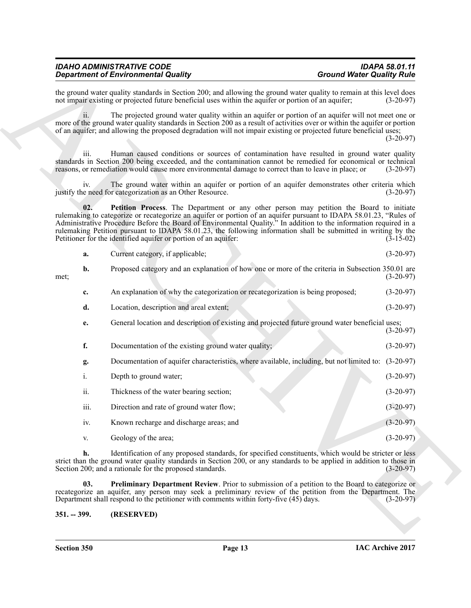| <b>IDAHO ADMINISTRATIVE CODE</b>           | <b>IDAPA 58.01.11</b>            |
|--------------------------------------------|----------------------------------|
| <b>Department of Environmental Quality</b> | <b>Ground Water Quality Rule</b> |

<span id="page-12-2"></span><span id="page-12-1"></span><span id="page-12-0"></span>

|  | Current category, if applicable; |  | $(3-20-97)$ |
|--|----------------------------------|--|-------------|
|--|----------------------------------|--|-------------|

|               | <b>Department of Environmental Quality</b>                                                                                                                                                                                                                                                                                                                                                                                                                                                                              | <b>Ground Water Quality Rule</b> |
|---------------|-------------------------------------------------------------------------------------------------------------------------------------------------------------------------------------------------------------------------------------------------------------------------------------------------------------------------------------------------------------------------------------------------------------------------------------------------------------------------------------------------------------------------|----------------------------------|
|               | the ground water quality standards in Section 200; and allowing the ground water quality to remain at this level does<br>not impair existing or projected future beneficial uses within the aquifer or portion of an aquifer;                                                                                                                                                                                                                                                                                           | $(3-20-97)$                      |
| 11.           | The projected ground water quality within an aquifer or portion of an aquifer will not meet one or<br>more of the ground water quality standards in Section 200 as a result of activities over or within the aquifer or portion<br>of an aquifer; and allowing the proposed degradation will not impair existing or projected future beneficial uses;                                                                                                                                                                   | $(3-20-97)$                      |
| 111.          | Human caused conditions or sources of contamination have resulted in ground water quality<br>standards in Section 200 being exceeded, and the contamination cannot be remedied for economical or technical<br>reasons, or remediation would cause more environmental damage to correct than to leave in place; or                                                                                                                                                                                                       | $(3-20-97)$                      |
| iv.           | The ground water within an aquifer or portion of an aquifer demonstrates other criteria which<br>justify the need for categorization as an Other Resource.                                                                                                                                                                                                                                                                                                                                                              | $(3-20-97)$                      |
| 02.           | Petition Process. The Department or any other person may petition the Board to initiate<br>rulemaking to categorize or recategorize an aquifer or portion of an aquifer pursuant to IDAPA 58.01.23, "Rules of<br>Administrative Procedure Before the Board of Environmental Quality." In addition to the information required in a<br>rulemaking Petition pursuant to IDAPA 58.01.23, the following information shall be submitted in writing by the<br>Petitioner for the identified aquifer or portion of an aquifer: | $(3-15-02)$                      |
| a.            | Current category, if applicable;                                                                                                                                                                                                                                                                                                                                                                                                                                                                                        | $(3-20-97)$                      |
| b.<br>met;    | Proposed category and an explanation of how one or more of the criteria in Subsection 350.01 are                                                                                                                                                                                                                                                                                                                                                                                                                        | $(3-20-97)$                      |
| c.            | An explanation of why the categorization or recategorization is being proposed;                                                                                                                                                                                                                                                                                                                                                                                                                                         | $(3-20-97)$                      |
| d.            | Location, description and areal extent;                                                                                                                                                                                                                                                                                                                                                                                                                                                                                 | $(3-20-97)$                      |
| e.            | General location and description of existing and projected future ground water beneficial uses;                                                                                                                                                                                                                                                                                                                                                                                                                         | $(3-20-97)$                      |
| f.            | Documentation of the existing ground water quality;                                                                                                                                                                                                                                                                                                                                                                                                                                                                     | $(3-20-97)$                      |
| g.            | Documentation of aquifer characteristics, where available, including, but not limited to: (3-20-97)                                                                                                                                                                                                                                                                                                                                                                                                                     |                                  |
| i.            | Depth to ground water;                                                                                                                                                                                                                                                                                                                                                                                                                                                                                                  | $(3-20-97)$                      |
| ii.           | Thickness of the water bearing section;                                                                                                                                                                                                                                                                                                                                                                                                                                                                                 | $(3-20-97)$                      |
| iii.          | Direction and rate of ground water flow;                                                                                                                                                                                                                                                                                                                                                                                                                                                                                | $(3-20-97)$                      |
| iv.           | Known recharge and discharge areas; and                                                                                                                                                                                                                                                                                                                                                                                                                                                                                 | $(3-20-97)$                      |
| V.            | Geology of the area;                                                                                                                                                                                                                                                                                                                                                                                                                                                                                                    | $(3-20-97)$                      |
| h.            | Identification of any proposed standards, for specified constituents, which would be stricter or less<br>strict than the ground water quality standards in Section 200, or any standards to be applied in addition to those in<br>Section 200; and a rationale for the proposed standards.                                                                                                                                                                                                                              | $(3-20-97)$                      |
| 03.           | <b>Preliminary Department Review</b> . Prior to submission of a petition to the Board to categorize or<br>recategorize an aquifer, any person may seek a preliminary review of the petition from the Department. The<br>Department shall respond to the petitioner with comments within forty-five (45) days.                                                                                                                                                                                                           | $(3-20-97)$                      |
| $351. - 399.$ | (RESERVED)                                                                                                                                                                                                                                                                                                                                                                                                                                                                                                              |                                  |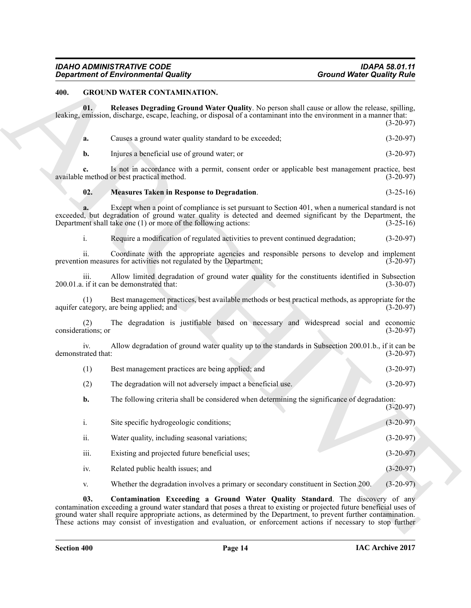### <span id="page-13-4"></span><span id="page-13-3"></span><span id="page-13-1"></span><span id="page-13-0"></span>**400. GROUND WATER CONTAMINATION.**

Ground Water Costaby National Quality<br>
400. Ground Water Costaby Ruise<br>
400. Ground Water Costaby Ruise<br>
400. The Ruise Legendre Costaby Ruise Costaby National Value Costaby National Value Costaby Ruise<br>
40. Class a groun **01. Releases Degrading Ground Water Quality**. No person shall cause or allow the release, spilling, leaking, emission, discharge, escape, leaching, or disposal of a contaminant into the environment in a manner that: (3-20-97) **a.** Causes a ground water quality standard to be exceeded;  $(3-20-97)$ **b.** Injures a beneficial use of ground water; or (3-20-97) **c.** Is not in accordance with a permit, consent order or applicable best management practice, best method or best practical method.  $(3-20-97)$ available method or best practical method. **02. Measures Taken in Response to Degradation**. (3-25-16) **a.** Except when a point of compliance is set pursuant to Section 401, when a numerical standard is not exceeded, but degradation of ground water quality is detected and deemed significant by the Department, the Department shall take one (1) or more of the following actions: (3-25-16) Department shall take one  $(1)$  or more of the following actions: i. Require a modification of regulated activities to prevent continued degradation; (3-20-97) ii. Coordinate with the appropriate agencies and responsible persons to develop and implement on measures for activities not regulated by the Department; (3-20-97) prevention measures for activities not regulated by the Department; iii. Allow limited degradation of ground water quality for the constituents identified in Subsection ( $3-30-07$ ). 200.01.a. if it can be demonstrated that: (1) Best management practices, best available methods or best practical methods, as appropriate for the aquifer category, are being applied; and (2) The degradation is justifiable based on necessary and widespread social and economic (3-20-97)  $(3-20-97)$ considerations; or iv. Allow degradation of ground water quality up to the standards in Subsection 200.01.b., if it can be demonstrated that: (1) Best management practices are being applied; and (3-20-97) (2) The degradation will not adversely impact a beneficial use. (3-20-97) **b.** The following criteria shall be considered when determining the significance of degradation: (3-20-97) i. Site specific hydrogeologic conditions; (3-20-97) ii. Water quality, including seasonal variations; (3-20-97) iii. Existing and projected future beneficial uses; (3-20-97) iv. Related public health issues; and (3-20-97) v. Whether the degradation involves a primary or secondary constituent in Section 200. (3-20-97)

<span id="page-13-2"></span>**03. Contamination Exceeding a Ground Water Quality Standard**. The discovery of any contamination exceeding a ground water standard that poses a threat to existing or projected future beneficial uses of ground water shall require appropriate actions, as determined by the Department, to prevent further contamination. These actions may consist of investigation and evaluation, or enforcement actions if necessary to stop further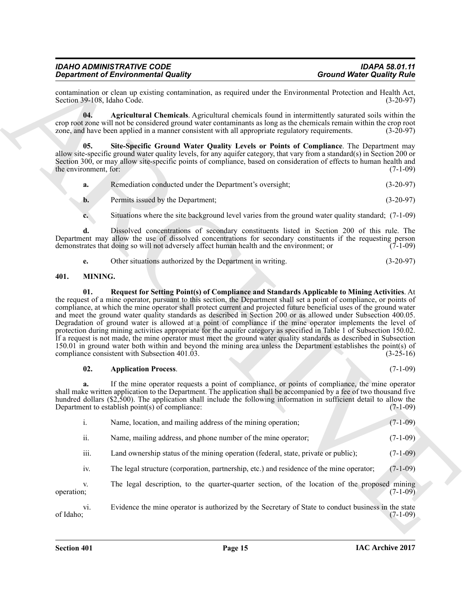| <b>IDAHO ADMINISTRATIVE CODE</b>           |  |
|--------------------------------------------|--|
| <b>Department of Environmental Quality</b> |  |

contamination or clean up existing contamination, as required under the Environmental Protection and Health Act,<br>(3-20-97) (3-20-97) Section 39-108, Idaho Code.

<span id="page-14-1"></span>**04. Agricultural Chemicals**. Agricultural chemicals found in intermittently saturated soils within the crop root zone will not be considered ground water contaminants as long as the chemicals remain within the crop root zone, and have been applied in a manner consistent with all appropriate regulatory requirements. (3-20-97 zone, and have been applied in a manner consistent with all appropriate regulatory requirements.

**05. Site-Specific Ground Water Quality Levels or Points of Compliance**. The Department may allow site-specific ground water quality levels, for any aquifer category, that vary from a standard(s) in Section 200 or Section 300, or may allow site-specific points of compliance, based on consideration of effects to human health and the environment, for: (7-1-09) the environment, for:

<span id="page-14-2"></span>

| а. | Remediation conducted under the Department's oversight; | $(3-20-97)$ |
|----|---------------------------------------------------------|-------------|
|    | Permits issued by the Department;                       | $(3-20-97)$ |

**c.** Situations where the site background level varies from the ground water quality standard; (7-1-09)

**d.** Dissolved concentrations of secondary constituents listed in Section 200 of this rule. The Department may allow the use of dissolved concentrations for secondary constituents if the requesting person demonstrates that doing so will not adversely affect human health and the environment; or (7-1-09) demonstrates that doing so will not adversely affect human health and the environment; or

<span id="page-14-5"></span><span id="page-14-3"></span>

| Other situations authorized by the Department in writing. | $(3-20-97)$ |
|-----------------------------------------------------------|-------------|
|                                                           |             |

### <span id="page-14-0"></span>**401. MINING.**

Ground Weiser Columbus of Environmental Guality<br>
scellar metrics contained the metric of the state of the state of the state of the state of the state of the state of the state of the state of the state of the state of th **01. Request for Setting Point(s) of Compliance and Standards Applicable to Mining Activities**. At the request of a mine operator, pursuant to this section, the Department shall set a point of compliance, or points of compliance, at which the mine operator shall protect current and projected future beneficial uses of the ground water and meet the ground water quality standards as described in Section 200 or as allowed under Subsection 400.05. Degradation of ground water is allowed at a point of compliance if the mine operator implements the level of protection during mining activities appropriate for the aquifer category as specified in Table 1 of Subsection 150.02. If a request is not made, the mine operator must meet the ground water quality standards as described in Subsection 150.01 in ground water both within and beyond the mining area unless the Department establishes the point(s) of compliance consistent with Subsection 401.03. (3-25-16) compliance consistent with Subsection  $401.03$ .

### <span id="page-14-4"></span>**02. Application Process**. (7-1-09)

**a.** If the mine operator requests a point of compliance, or points of compliance, the mine operator shall make written application to the Department. The application shall be accompanied by a fee of two thousand five hundred dollars (\$2,500). The application shall include the following information in sufficient detail to allow the Department to establish point(s) of compliance: Department to establish point $(s)$  of compliance:

|  | Name, location, and mailing address of the mining operation; |  |  | $(7-1-09)$ |
|--|--------------------------------------------------------------|--|--|------------|
|--|--------------------------------------------------------------|--|--|------------|

- ii. Name, mailing address, and phone number of the mine operator; (7-1-09)
- iii. Land ownership status of the mining operation (federal, state, private or public); (7-1-09)

iv. The legal structure (corporation, partnership, etc.) and residence of the mine operator; (7-1-09)

v. The legal description, to the quarter-quarter section, of the location of the proposed mining operation; (7-1-09) operation;  $(7-1-09)$ 

vi. Evidence the mine operator is authorized by the Secretary of State to conduct business in the state of Idaho; (7-1-09) of Idaho;  $(7-1-09)$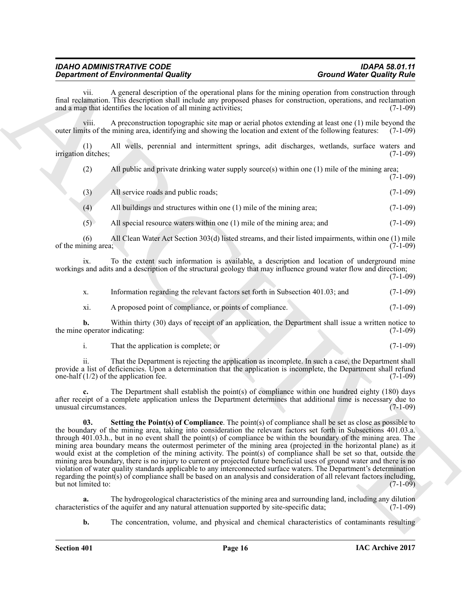vii. A general description of the operational plans for the mining operation from construction through final reclamation. This description shall include any proposed phases for construction, operations, and reclamation and a map that identifies the location of all mining activities: (7-1-09) and a map that identifies the location of all mining activities;

viii. A preconstruction topographic site map or aerial photos extending at least one (1) mile beyond the outer limits of the mining area, identifying and showing the location and extent of the following features: (7-1-09)

(1) All wells, perennial and intermittent springs, adit discharges, wetlands, surface waters and irrigation ditches;

(2) All public and private drinking water supply source(s) within one (1) mile of the mining area;  $(7-1-09)$ 

|  | (3) | All service roads and public roads; |  | $(7-1-09)$ |
|--|-----|-------------------------------------|--|------------|
|--|-----|-------------------------------------|--|------------|

(4) All buildings and structures within one (1) mile of the mining area; (7-1-09)

(5) All special resource waters within one (1) mile of the mining area; and (7-1-09)

(6) All Clean Water Act Section 303(d) listed streams, and their listed impairments, within one (1) mile ning area:  $(7-1-09)$ of the mining area;

ix. To the extent such information is available, a description and location of underground mine workings and adits and a description of the structural geology that may influence ground water flow and direction;  $(7-1-09)$ 

x. Information regarding the relevant factors set forth in Subsection 401.03; and (7-1-09) xi. A proposed point of compliance, or points of compliance. (7-1-09)

**b.** Within thirty (30) days of receipt of an application, the Department shall issue a written notice to operator indicating: (7-1-09) the mine operator indicating:

i. That the application is complete; or (7-1-09)

ii. That the Department is rejecting the application as incomplete. In such a case, the Department shall provide a list of deficiencies. Upon a determination that the application is incomplete, the Department shall refund<br>one-half  $(1/2)$  of the application fee. one-half  $(1/2)$  of the application fee.

<span id="page-15-0"></span>The Department shall establish the point(s) of compliance within one hundred eighty (180) days after receipt of a complete application unless the Department determines that additional time is necessary due to unusual circumstances. unusual circumstances.

**Considered Entrepreneuring Country of the system of Countries Countries Countries Considered Considered Entrepreneuring Counter Considered Entrepreneuring Counter Countries Considered Entrepreneuring Counter Countries Co 03. Setting the Point(s) of Compliance**. The point(s) of compliance shall be set as close as possible to the boundary of the mining area, taking into consideration the relevant factors set forth in Subsections 401.03.a. through 401.03.h., but in no event shall the point(s) of compliance be within the boundary of the mining area. The mining area boundary means the outermost perimeter of the mining area (projected in the horizontal plane) as it would exist at the completion of the mining activity. The point(s) of compliance shall be set so that, outside the mining area boundary, there is no injury to current or projected future beneficial uses of ground water and there is no violation of water quality standards applicable to any interconnected surface waters. The Department's determination regarding the point(s) of compliance shall be based on an analysis and consideration of all relevant factors including, but not limited to: (7-1-09)

**a.** The hydrogeological characteristics of the mining area and surrounding land, including any dilution is it is estimated by site-specific data: (7-1-09) characteristics of the aquifer and any natural attenuation supported by site-specific data;

**b.** The concentration, volume, and physical and chemical characteristics of contaminants resulting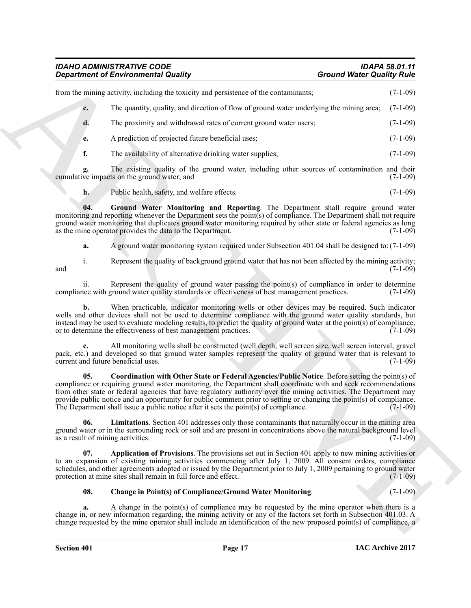<span id="page-16-3"></span>

|                       | <b>Department of Environmental Quality</b>                                                                                                                                                                                                                                                                                                                                                                                                                                                                                                              | <b>Ground Water Quality Rule</b> |
|-----------------------|---------------------------------------------------------------------------------------------------------------------------------------------------------------------------------------------------------------------------------------------------------------------------------------------------------------------------------------------------------------------------------------------------------------------------------------------------------------------------------------------------------------------------------------------------------|----------------------------------|
|                       | from the mining activity, including the toxicity and persistence of the contaminants;                                                                                                                                                                                                                                                                                                                                                                                                                                                                   | $(7-1-09)$                       |
| c.                    | The quantity, quality, and direction of flow of ground water underlying the mining area;                                                                                                                                                                                                                                                                                                                                                                                                                                                                | $(7-1-09)$                       |
| d.                    | The proximity and withdrawal rates of current ground water users;                                                                                                                                                                                                                                                                                                                                                                                                                                                                                       | $(7-1-09)$                       |
| e.                    | A prediction of projected future beneficial uses;                                                                                                                                                                                                                                                                                                                                                                                                                                                                                                       | $(7-1-09)$                       |
| f.                    | The availability of alternative drinking water supplies;                                                                                                                                                                                                                                                                                                                                                                                                                                                                                                | $(7-1-09)$                       |
|                       | The existing quality of the ground water, including other sources of contamination and their<br>cumulative impacts on the ground water; and                                                                                                                                                                                                                                                                                                                                                                                                             | $(7-1-09)$                       |
| h.                    | Public health, safety, and welfare effects.                                                                                                                                                                                                                                                                                                                                                                                                                                                                                                             | $(7-1-09)$                       |
| 04.                   | Ground Water Monitoring and Reporting. The Department shall require ground water<br>monitoring and reporting whenever the Department sets the point(s) of compliance. The Department shall not require<br>ground water monitoring that duplicates ground water monitoring required by other state or federal agencies as long<br>as the mine operator provides the data to the Department.                                                                                                                                                              | $(7-1-09)$                       |
| a.                    | A ground water monitoring system required under Subsection 401.04 shall be designed to: (7-1-09)                                                                                                                                                                                                                                                                                                                                                                                                                                                        |                                  |
| $\mathbf{1}$ .<br>and | Represent the quality of background ground water that has not been affected by the mining activity;                                                                                                                                                                                                                                                                                                                                                                                                                                                     | $(7-1-09)$                       |
| <i>ii.</i>            | Represent the quality of ground water passing the point(s) of compliance in order to determine<br>compliance with ground water quality standards or effectiveness of best management practices.                                                                                                                                                                                                                                                                                                                                                         | $(7-1-09)$                       |
| b.                    | When practicable, indicator monitoring wells or other devices may be required. Such indicator<br>wells and other devices shall not be used to determine compliance with the ground water quality standards, but<br>instead may be used to evaluate modeling results, to predict the quality of ground water at the point(s) of compliance,<br>or to determine the effectiveness of best management practices.                                                                                                                                           | $(7-1-09)$                       |
|                       | All monitoring wells shall be constructed (well depth, well screen size, well screen interval, gravel<br>pack, etc.) and developed so that ground water samples represent the quality of ground water that is relevant to<br>current and future beneficial uses.                                                                                                                                                                                                                                                                                        | $(7-1-09)$                       |
| 05.                   | Coordination with Other State or Federal Agencies/Public Notice. Before setting the point(s) of<br>compliance or requiring ground water monitoring, the Department shall coordinate with and seek recommendations<br>from other state or federal agencies that have regulatory authority over the mining activities. The Department may<br>provide public notice and an opportunity for public comment prior to setting or changing the point(s) of compliance.<br>The Department shall issue a public notice after it sets the point(s) of compliance. | $(7-1-09)$                       |
| 06.                   | <b>Limitations.</b> Section 401 addresses only those contaminants that naturally occur in the mining area<br>ground water or in the surrounding rock or soil and are present in concentrations above the natural background level<br>as a result of mining activities.                                                                                                                                                                                                                                                                                  | $(7-1-09)$                       |
| 07.                   | Application of Provisions. The provisions set out in Section 401 apply to new mining activities or<br>to an expansion of existing mining activities commencing after July 1, 2009. All consent orders, compliance<br>schedules, and other agreements adopted or issued by the Department prior to July 1, 2009 pertaining to ground water<br>protection at mine sites shall remain in full force and effect.                                                                                                                                            | $(7-1-09)$                       |
| 08.                   | <b>Change in Point(s) of Compliance/Ground Water Monitoring.</b>                                                                                                                                                                                                                                                                                                                                                                                                                                                                                        | $(7-1-09)$                       |
| a.                    | A change in the point(s) of compliance may be requested by the mine operator when there is a<br>change in, or new information regarding, the mining activity or any of the factors set forth in Subsection 401.03. A<br>change requested by the mine operator shall include an identification of the new proposed point(s) of compliance, a                                                                                                                                                                                                             |                                  |
|                       |                                                                                                                                                                                                                                                                                                                                                                                                                                                                                                                                                         |                                  |

### <span id="page-16-4"></span><span id="page-16-2"></span><span id="page-16-1"></span><span id="page-16-0"></span>**08. Change in Point(s) of Compliance/Ground Water Monitoring**. (7-1-09)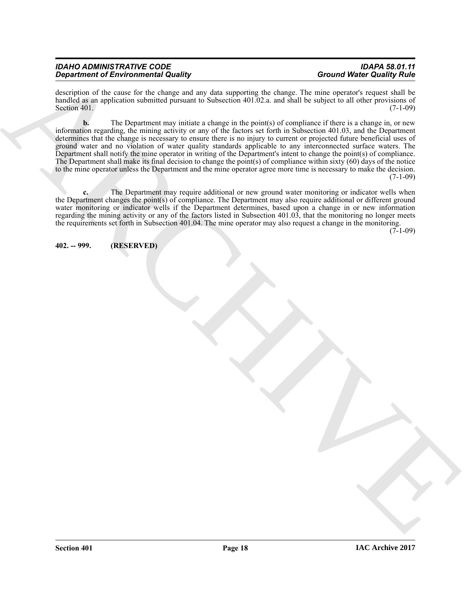| <b>IDAHO ADMINISTRATIVE CODE</b>           | <b>IDAPA 58.01.11</b>            |
|--------------------------------------------|----------------------------------|
| <b>Department of Environmental Quality</b> | <b>Ground Water Quality Rule</b> |

description of the cause for the change and any data supporting the change. The mine operator's request shall be handled as an application submitted pursuant to Subsection 401.02.a. and shall be subject to all other provisions of Section 401.<br>(7-1-09) Section 401.  $(7-1-09)$ 

*Grand West Charles in the Charles Charles Charles Charles Charles Charles Charles Charles Charles Charles Charles Charles Charles Charles Charles Charles Charles Charles Charles Charles Charles Charles Charles Charles Ch* **b.** The Department may initiate a change in the point(s) of compliance if there is a change in, or new information regarding, the mining activity or any of the factors set forth in Subsection 401.03, and the Department determines that the change is necessary to ensure there is no injury to current or projected future beneficial uses of ground water and no violation of water quality standards applicable to any interconnected surface waters. The Department shall notify the mine operator in writing of the Department's intent to change the point(s) of compliance. The Department shall make its final decision to change the point(s) of compliance within sixty (60) days of the notice to the mine operator unless the Department and the mine operator agree more time is necessary to make the decision. (7-1-09)

**c.** The Department may require additional or new ground water monitoring or indicator wells when the Department changes the point(s) of compliance. The Department may also require additional or different ground water monitoring or indicator wells if the Department determines, based upon a change in or new information regarding the mining activity or any of the factors listed in Subsection 401.03, that the monitoring no longer meets the requirements set forth in Subsection 401.04. The mine operator may also request a change in the monitoring.

 $(7-1-09)$ 

<span id="page-17-0"></span>**402. -- 999. (RESERVED)**